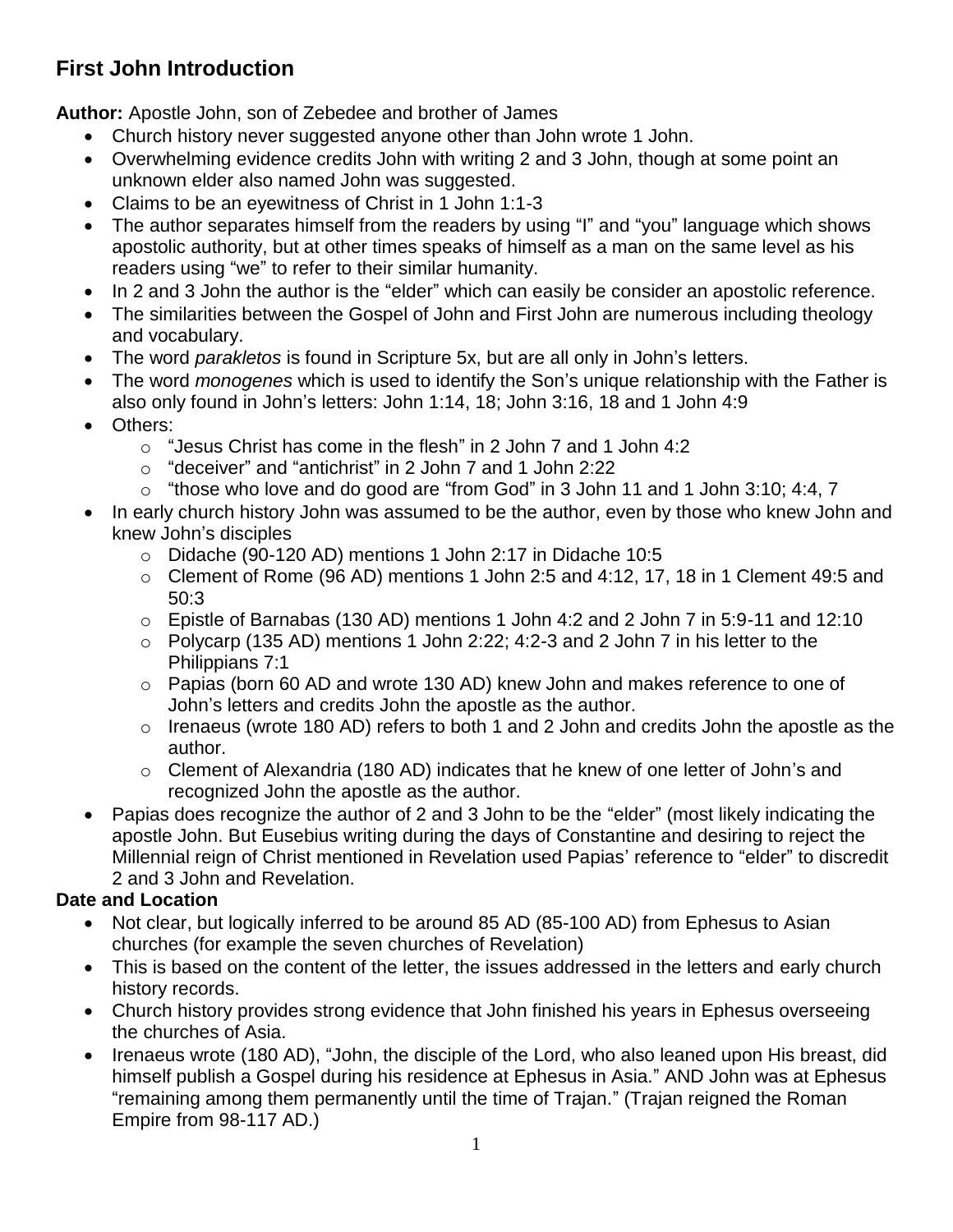## **First John Introduction**

**Author:** Apostle John, son of Zebedee and brother of James

- Church history never suggested anyone other than John wrote 1 John.
- Overwhelming evidence credits John with writing 2 and 3 John, though at some point an unknown elder also named John was suggested.
- Claims to be an eyewitness of Christ in 1 John 1:1-3
- The author separates himself from the readers by using "I" and "you" language which shows apostolic authority, but at other times speaks of himself as a man on the same level as his readers using "we" to refer to their similar humanity.
- In 2 and 3 John the author is the "elder" which can easily be consider an apostolic reference.
- The similarities between the Gospel of John and First John are numerous including theology and vocabulary.
- The word *parakletos* is found in Scripture 5x, but are all only in John's letters.
- The word *monogenes* which is used to identify the Son's unique relationship with the Father is also only found in John's letters: John 1:14, 18; John 3:16, 18 and 1 John 4:9
- Others:
	- $\circ$  "Jesus Christ has come in the flesh" in 2 John 7 and 1 John 4:2
	- o "deceiver" and "antichrist" in 2 John 7 and 1 John 2:22
	- o "those who love and do good are "from God" in 3 John 11 and 1 John 3:10; 4:4, 7
- In early church history John was assumed to be the author, even by those who knew John and knew John's disciples
	- o Didache (90-120 AD) mentions 1 John 2:17 in Didache 10:5
	- $\circ$  Clement of Rome (96 AD) mentions 1 John 2:5 and 4:12, 17, 18 in 1 Clement 49:5 and 50:3
	- $\circ$  Epistle of Barnabas (130 AD) mentions 1 John 4:2 and 2 John 7 in 5:9-11 and 12:10
	- $\circ$  Polycarp (135 AD) mentions 1 John 2:22; 4:2-3 and 2 John 7 in his letter to the Philippians 7:1
	- o Papias (born 60 AD and wrote 130 AD) knew John and makes reference to one of John's letters and credits John the apostle as the author.
	- o Irenaeus (wrote 180 AD) refers to both 1 and 2 John and credits John the apostle as the author.
	- o Clement of Alexandria (180 AD) indicates that he knew of one letter of John's and recognized John the apostle as the author.
- Papias does recognize the author of 2 and 3 John to be the "elder" (most likely indicating the apostle John. But Eusebius writing during the days of Constantine and desiring to reject the Millennial reign of Christ mentioned in Revelation used Papias' reference to "elder" to discredit 2 and 3 John and Revelation.

## **Date and Location**

- Not clear, but logically inferred to be around 85 AD (85-100 AD) from Ephesus to Asian churches (for example the seven churches of Revelation)
- This is based on the content of the letter, the issues addressed in the letters and early church history records.
- Church history provides strong evidence that John finished his years in Ephesus overseeing the churches of Asia.
- Irenaeus wrote (180 AD), "John, the disciple of the Lord, who also leaned upon His breast, did himself publish a Gospel during his residence at Ephesus in Asia." AND John was at Ephesus "remaining among them permanently until the time of Trajan." (Trajan reigned the Roman Empire from 98-117 AD.)